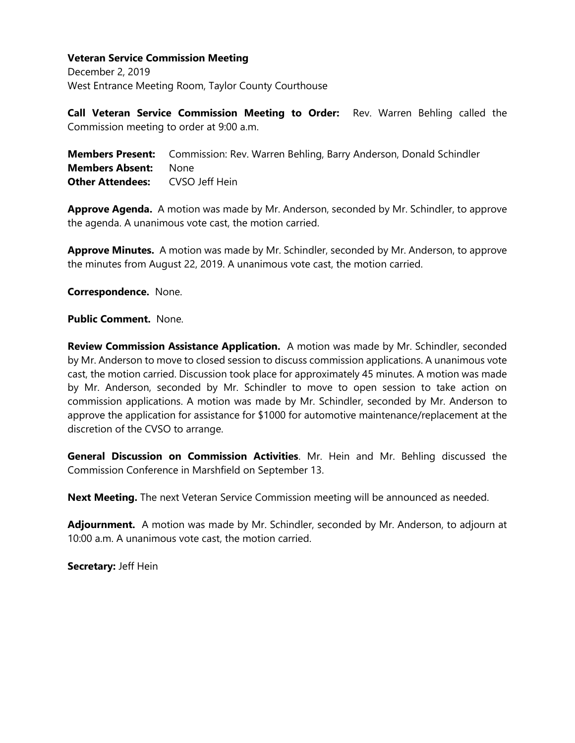December 2, 2019 West Entrance Meeting Room, Taylor County Courthouse

**Call Veteran Service Commission Meeting to Order:** Rev. Warren Behling called the Commission meeting to order at 9:00 a.m.

**Members Present:** Commission: Rev. Warren Behling, Barry Anderson, Donald Schindler **Members Absent:** None **Other Attendees:** CVSO Jeff Hein

**Approve Agenda.** A motion was made by Mr. Anderson, seconded by Mr. Schindler, to approve the agenda. A unanimous vote cast, the motion carried.

**Approve Minutes.** A motion was made by Mr. Schindler, seconded by Mr. Anderson, to approve the minutes from August 22, 2019. A unanimous vote cast, the motion carried.

**Correspondence.** None.

**Public Comment.** None.

**Review Commission Assistance Application.** A motion was made by Mr. Schindler, seconded by Mr. Anderson to move to closed session to discuss commission applications. A unanimous vote cast, the motion carried. Discussion took place for approximately 45 minutes. A motion was made by Mr. Anderson, seconded by Mr. Schindler to move to open session to take action on commission applications. A motion was made by Mr. Schindler, seconded by Mr. Anderson to approve the application for assistance for \$1000 for automotive maintenance/replacement at the discretion of the CVSO to arrange.

**General Discussion on Commission Activities**. Mr. Hein and Mr. Behling discussed the Commission Conference in Marshfield on September 13.

**Next Meeting.** The next Veteran Service Commission meeting will be announced as needed.

**Adjournment.** A motion was made by Mr. Schindler, seconded by Mr. Anderson, to adjourn at 10:00 a.m. A unanimous vote cast, the motion carried.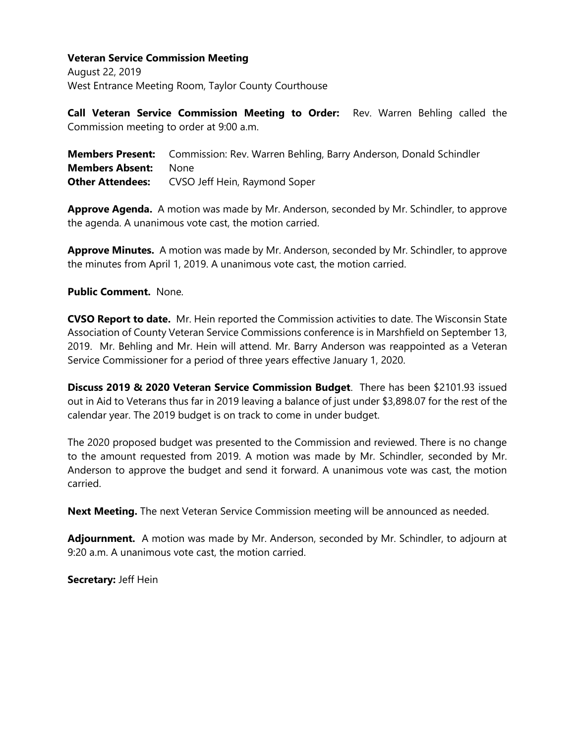August 22, 2019 West Entrance Meeting Room, Taylor County Courthouse

**Call Veteran Service Commission Meeting to Order:** Rev. Warren Behling called the Commission meeting to order at 9:00 a.m.

**Members Present:** Commission: Rev. Warren Behling, Barry Anderson, Donald Schindler **Members Absent:** None **Other Attendees:** CVSO Jeff Hein, Raymond Soper

**Approve Agenda.** A motion was made by Mr. Anderson, seconded by Mr. Schindler, to approve the agenda. A unanimous vote cast, the motion carried.

**Approve Minutes.** A motion was made by Mr. Anderson, seconded by Mr. Schindler, to approve the minutes from April 1, 2019. A unanimous vote cast, the motion carried.

#### **Public Comment.** None.

**CVSO Report to date.** Mr. Hein reported the Commission activities to date. The Wisconsin State Association of County Veteran Service Commissions conference is in Marshfield on September 13, 2019. Mr. Behling and Mr. Hein will attend. Mr. Barry Anderson was reappointed as a Veteran Service Commissioner for a period of three years effective January 1, 2020.

**Discuss 2019 & 2020 Veteran Service Commission Budget**. There has been \$2101.93 issued out in Aid to Veterans thus far in 2019 leaving a balance of just under \$3,898.07 for the rest of the calendar year. The 2019 budget is on track to come in under budget.

The 2020 proposed budget was presented to the Commission and reviewed. There is no change to the amount requested from 2019. A motion was made by Mr. Schindler, seconded by Mr. Anderson to approve the budget and send it forward. A unanimous vote was cast, the motion carried.

**Next Meeting.** The next Veteran Service Commission meeting will be announced as needed.

**Adjournment.** A motion was made by Mr. Anderson, seconded by Mr. Schindler, to adjourn at 9:20 a.m. A unanimous vote cast, the motion carried.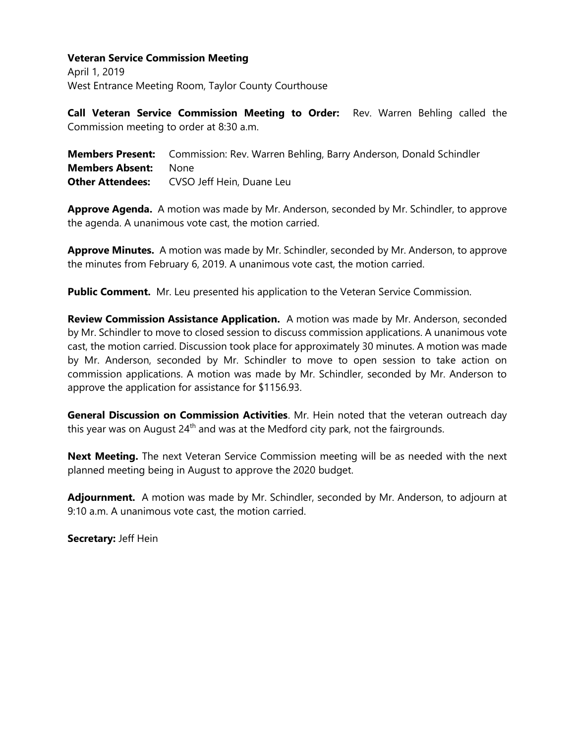April 1, 2019 West Entrance Meeting Room, Taylor County Courthouse

**Call Veteran Service Commission Meeting to Order:** Rev. Warren Behling called the Commission meeting to order at 8:30 a.m.

**Members Present:** Commission: Rev. Warren Behling, Barry Anderson, Donald Schindler **Members Absent:** None **Other Attendees:** CVSO Jeff Hein, Duane Leu

**Approve Agenda.** A motion was made by Mr. Anderson, seconded by Mr. Schindler, to approve the agenda. A unanimous vote cast, the motion carried.

**Approve Minutes.** A motion was made by Mr. Schindler, seconded by Mr. Anderson, to approve the minutes from February 6, 2019. A unanimous vote cast, the motion carried.

**Public Comment.** Mr. Leu presented his application to the Veteran Service Commission.

**Review Commission Assistance Application.** A motion was made by Mr. Anderson, seconded by Mr. Schindler to move to closed session to discuss commission applications. A unanimous vote cast, the motion carried. Discussion took place for approximately 30 minutes. A motion was made by Mr. Anderson, seconded by Mr. Schindler to move to open session to take action on commission applications. A motion was made by Mr. Schindler, seconded by Mr. Anderson to approve the application for assistance for \$1156.93.

**General Discussion on Commission Activities**. Mr. Hein noted that the veteran outreach day this year was on August  $24<sup>th</sup>$  and was at the Medford city park, not the fairgrounds.

**Next Meeting.** The next Veteran Service Commission meeting will be as needed with the next planned meeting being in August to approve the 2020 budget.

**Adjournment.** A motion was made by Mr. Schindler, seconded by Mr. Anderson, to adjourn at 9:10 a.m. A unanimous vote cast, the motion carried.